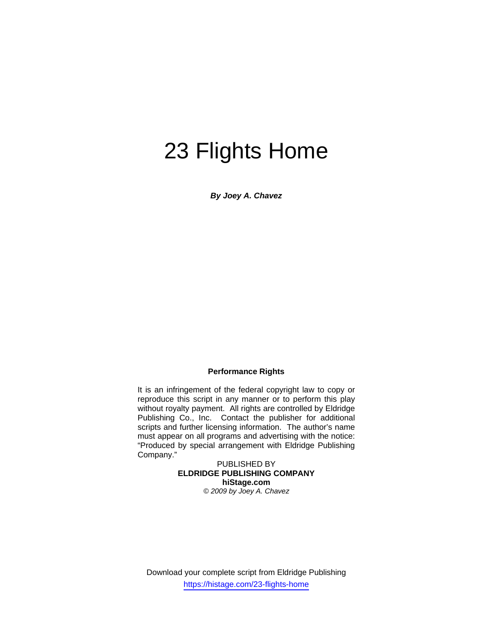# 23 Flights Home

*By Joey A. Chavez* 

#### **Performance Rights**

It is an infringement of the federal copyright law to copy or reproduce this script in any manner or to perform this play without royalty payment. All rights are controlled by Eldridge Publishing Co., Inc. Contact the publisher for additional scripts and further licensing information. The author's name must appear on all programs and advertising with the notice: "Produced by special arrangement with Eldridge Publishing Company."

PUBLISHED BY **ELDRIDGE PUBLISHING COMPANY hiStage.com**  *© 2009 by Joey A. Chavez*

Download your complete script from Eldridge Publishing https://histage.com/23-flights-home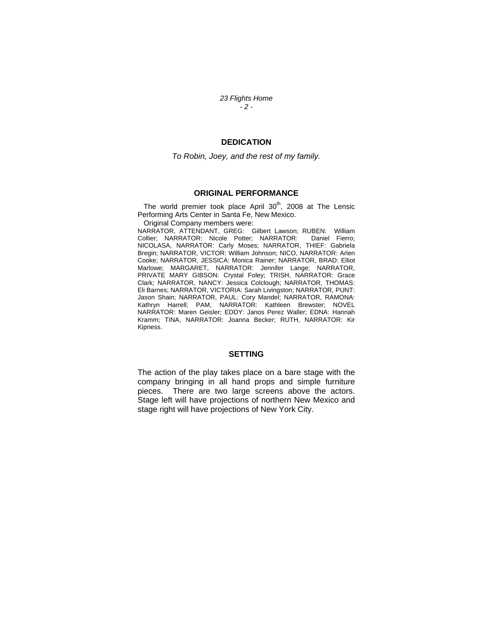*23 Flights Home - 2 -* 

### **DEDICATION**

*To Robin, Joey, and the rest of my family.* 

#### **ORIGINAL PERFORMANCE**

The world premier took place April  $30<sup>th</sup>$ , 2008 at The Lensic Performing Arts Center in Santa Fe, New Mexico.

Original Company members were:

NARRATOR, ATTENDANT, GREG: Gilbert Lawson; RUBEN: William Collier; NARRATOR: Nicole Potter; NARRATOR: NICOLASA, NARRATOR: Carly Moses; NARRATOR, THIEF: Gabriela Bregin; NARRATOR, VICTOR: William Johnson; NICO, NARRATOR: Arlen Cooke; NARRATOR, JESSICA: Monica Rainer; NARRATOR, BRAD: Elliot Marlowe; MARGARET, NARRATOR: Jennifer Lange; NARRATOR, PRIVATE MARY GIBSON: Crystal Foley; TRISH, NARRATOR: Grace Clark; NARRATOR, NANCY: Jessica Colclough; NARRATOR, THOMAS: Eli Barnes; NARRATOR, VICTORIA: Sarah Livingston; NARRATOR, PUNT: Jason Shain; NARRATOR, PAUL: Cory Mandel; NARRATOR, RAMONA: Kathryn Harrell; PAM, NARRATOR: Kathleen Brewster; NOVEL NARRATOR: Maren Geisler; EDDY: Janos Perez Waller; EDNA: Hannah Kramm; TINA, NARRATOR: Joanna Becker; RUTH, NARRATOR: Kir Kipness.

#### **SETTING**

The action of the play takes place on a bare stage with the company bringing in all hand props and simple furniture pieces. There are two large screens above the actors. Stage left will have projections of northern New Mexico and stage right will have projections of New York City.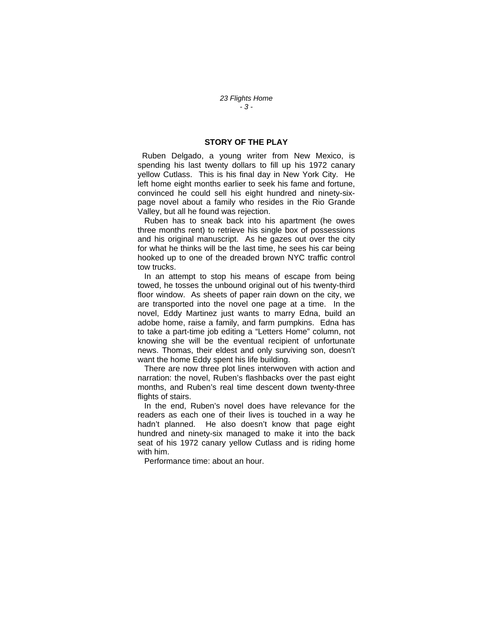#### **STORY OF THE PLAY**

 Ruben Delgado, a young writer from New Mexico, is spending his last twenty dollars to fill up his 1972 canary yellow Cutlass. This is his final day in New York City. He left home eight months earlier to seek his fame and fortune, convinced he could sell his eight hundred and ninety-sixpage novel about a family who resides in the Rio Grande Valley, but all he found was rejection.

 Ruben has to sneak back into his apartment (he owes three months rent) to retrieve his single box of possessions and his original manuscript. As he gazes out over the city for what he thinks will be the last time, he sees his car being hooked up to one of the dreaded brown NYC traffic control tow trucks.

 In an attempt to stop his means of escape from being towed, he tosses the unbound original out of his twenty-third floor window. As sheets of paper rain down on the city, we are transported into the novel one page at a time. In the novel, Eddy Martinez just wants to marry Edna, build an adobe home, raise a family, and farm pumpkins. Edna has to take a part-time job editing a "Letters Home" column, not knowing she will be the eventual recipient of unfortunate news. Thomas, their eldest and only surviving son, doesn't want the home Eddy spent his life building.

 There are now three plot lines interwoven with action and narration: the novel, Ruben's flashbacks over the past eight months, and Ruben's real time descent down twenty-three flights of stairs.

 In the end, Ruben's novel does have relevance for the readers as each one of their lives is touched in a way he hadn't planned. He also doesn't know that page eight hundred and ninety-six managed to make it into the back seat of his 1972 canary yellow Cutlass and is riding home with him.

Performance time: about an hour.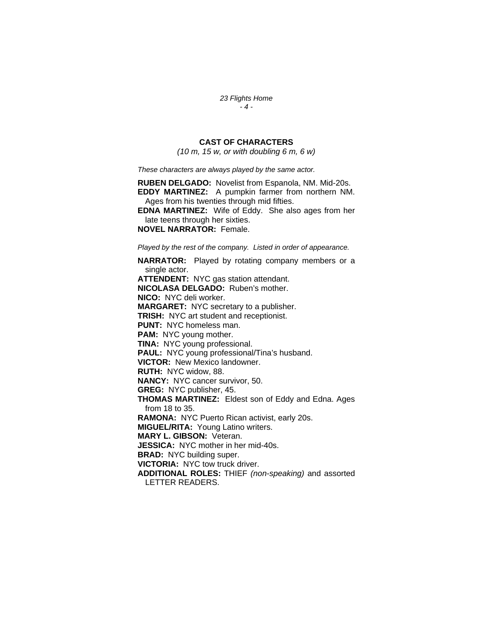*23 Flights Home - 4 -* 

## **CAST OF CHARACTERS**

*(10 m, 15 w, or with doubling 6 m, 6 w)* 

*These characters are always played by the same actor.* 

**RUBEN DELGADO:** Novelist from Espanola, NM. Mid-20s. **EDDY MARTINEZ:** A pumpkin farmer from northern NM. Ages from his twenties through mid fifties. **EDNA MARTINEZ:** Wife of Eddy. She also ages from her late teens through her sixties. **NOVEL NARRATOR:** Female.

*Played by the rest of the company. Listed in order of appearance.* 

**NARRATOR:** Played by rotating company members or a single actor. **ATTENDENT:** NYC gas station attendant. **NICOLASA DELGADO:** Ruben's mother. **NICO:** NYC deli worker. **MARGARET:** NYC secretary to a publisher. **TRISH:** NYC art student and receptionist. **PUNT:** NYC homeless man. **PAM:** NYC young mother. **TINA:** NYC young professional. **PAUL:** NYC young professional/Tina's husband. **VICTOR:** New Mexico landowner. **RUTH:** NYC widow, 88. **NANCY:** NYC cancer survivor, 50. **GREG:** NYC publisher, 45. **THOMAS MARTINEZ:** Eldest son of Eddy and Edna. Ages from 18 to 35. **RAMONA:** NYC Puerto Rican activist, early 20s. **MIGUEL/RITA:** Young Latino writers. **MARY L. GIBSON:** Veteran. **JESSICA:** NYC mother in her mid-40s. **BRAD:** NYC building super. **VICTORIA:** NYC tow truck driver. **ADDITIONAL ROLES:** THIEF *(non-speaking)* and assorted LETTER READERS.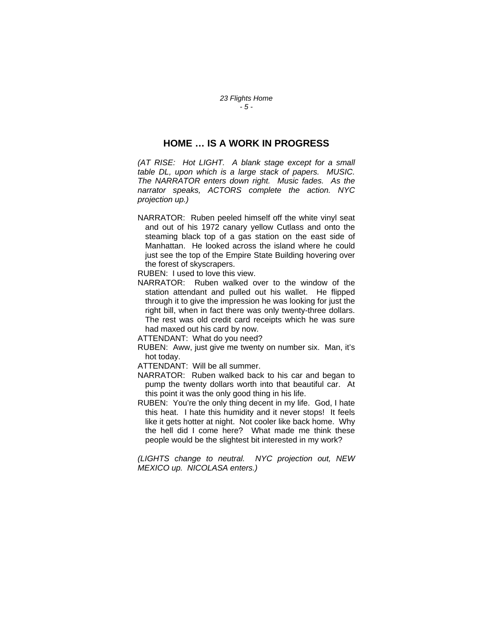*23 Flights Home - 5 -* 

## **HOME … IS A WORK IN PROGRESS**

*(AT RISE: Hot LIGHT. A blank stage except for a small table DL, upon which is a large stack of papers. MUSIC. The NARRATOR enters down right. Music fades. As the narrator speaks, ACTORS complete the action. NYC projection up.)* 

NARRATOR: Ruben peeled himself off the white vinyl seat and out of his 1972 canary yellow Cutlass and onto the steaming black top of a gas station on the east side of Manhattan. He looked across the island where he could just see the top of the Empire State Building hovering over the forest of skyscrapers.

RUBEN: I used to love this view.

NARRATOR: Ruben walked over to the window of the station attendant and pulled out his wallet. He flipped through it to give the impression he was looking for just the right bill, when in fact there was only twenty-three dollars. The rest was old credit card receipts which he was sure had maxed out his card by now.

ATTENDANT: What do you need?

RUBEN: Aww, just give me twenty on number six. Man, it's hot today.

ATTENDANT: Will be all summer.

- NARRATOR: Ruben walked back to his car and began to pump the twenty dollars worth into that beautiful car. At this point it was the only good thing in his life.
- RUBEN: You're the only thing decent in my life. God, I hate this heat. I hate this humidity and it never stops! It feels like it gets hotter at night. Not cooler like back home. Why the hell did I come here? What made me think these people would be the slightest bit interested in my work?

*(LIGHTS change to neutral. NYC projection out, NEW MEXICO up. NICOLASA enters.)*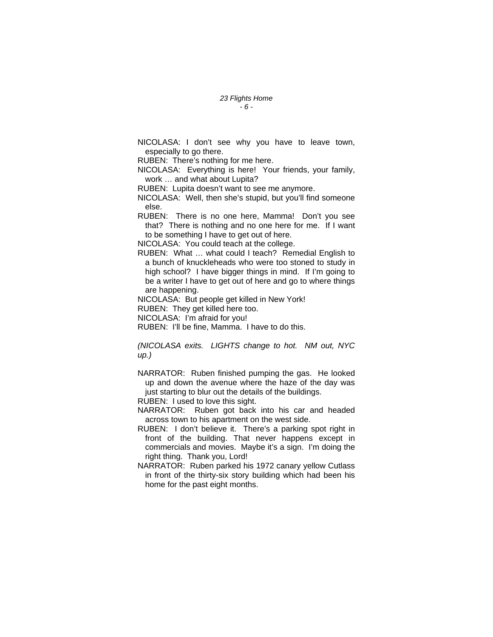NICOLASA: I don't see why you have to leave town, especially to go there.

RUBEN: There's nothing for me here.

NICOLASA: Everything is here! Your friends, your family, work … and what about Lupita?

RUBEN: Lupita doesn't want to see me anymore.

NICOLASA: Well, then she's stupid, but you'll find someone else.

RUBEN: There is no one here, Mamma! Don't you see that? There is nothing and no one here for me. If I want to be something I have to get out of here.

NICOLASA: You could teach at the college.

RUBEN: What … what could I teach? Remedial English to a bunch of knuckleheads who were too stoned to study in high school? I have bigger things in mind. If I'm going to be a writer I have to get out of here and go to where things are happening.

NICOLASA: But people get killed in New York!

RUBEN: They get killed here too.

NICOLASA: I'm afraid for you!

RUBEN: I'll be fine, Mamma. I have to do this.

*(NICOLASA exits. LIGHTS change to hot. NM out, NYC up.)* 

NARRATOR: Ruben finished pumping the gas. He looked up and down the avenue where the haze of the day was just starting to blur out the details of the buildings.

RUBEN: I used to love this sight.

NARRATOR: Ruben got back into his car and headed across town to his apartment on the west side.

RUBEN: I don't believe it. There's a parking spot right in front of the building. That never happens except in commercials and movies. Maybe it's a sign. I'm doing the right thing. Thank you, Lord!

NARRATOR: Ruben parked his 1972 canary yellow Cutlass in front of the thirty-six story building which had been his home for the past eight months.